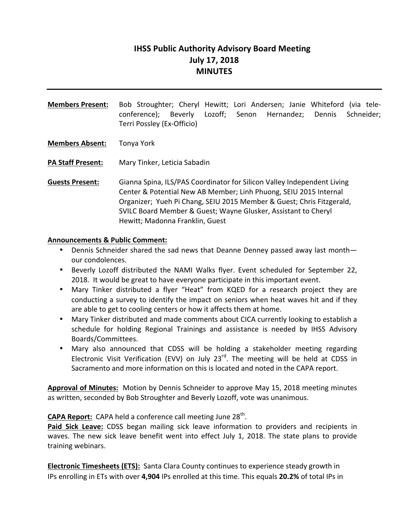# **IHSS Public Authority Advisory Board Meeting July 17, 2018 MINUTES**

Members Present: Bob Stroughter; Cheryl Hewitt; Lori Andersen; Janie Whiteford (via teleconference); Beverly Lozoff; Senon Hernandez; Dennis Schneider; Terri Possley (Ex-Officio)

**Members Absent:** Tonya York

**PA Staff Present:** Mary Tinker, Leticia Sabadin

**Guests Present:** Gianna Spina, ILS/PAS Coordinator for Silicon Valley Independent Living Center & Potential New AB Member; Linh Phuong, SEIU 2015 Internal Organizer; Yueh Pi Chang, SEIU 2015 Member & Guest; Chris Fitzgerald, SVILC Board Member & Guest; Wayne Glusker, Assistant to Cheryl Hewitt; Madonna Franklin, Guest

#### **Announcements & Public Comment:**

- Dennis Schneider shared the sad news that Deanne Denney passed away last month our condolences.
- Beverly Lozoff distributed the NAMI Walks flyer. Event scheduled for September 22, 2018. It would be great to have everyone participate in this important event.
- Mary Tinker distributed a flyer "Heat" from KQED for a research project they are conducting a survey to identify the impact on seniors when heat waves hit and if they are able to get to cooling centers or how it affects them at home.
- Mary Tinker distributed and made comments about CICA currently looking to establish a schedule for holding Regional Trainings and assistance is needed by IHSS Advisory Boards/Committees.
- Mary also announced that CDSS will be holding a stakeholder meeting regarding Electronic Visit Verification (EVV) on July  $23^{rd}$ . The meeting will be held at CDSS in Sacramento and more information on this is located and noted in the CAPA report.

**Approval of Minutes:** Motion by Dennis Schneider to approve May 15, 2018 meeting minutes as written, seconded by Bob Stroughter and Beverly Lozoff, vote was unanimous.

**CAPA Report:** CAPA held a conference call meeting June 28<sup>th</sup>.

**Paid Sick Leave:** CDSS began mailing sick leave information to providers and recipients in waves. The new sick leave benefit went into effect July 1, 2018. The state plans to provide training webinars.

**Electronic Timesheets (ETS):** Santa Clara County continues to experience steady growth in IPs enrolling in ETs with over **4,904** IPs enrolled at this time. This equals **20.2%** of total IPs in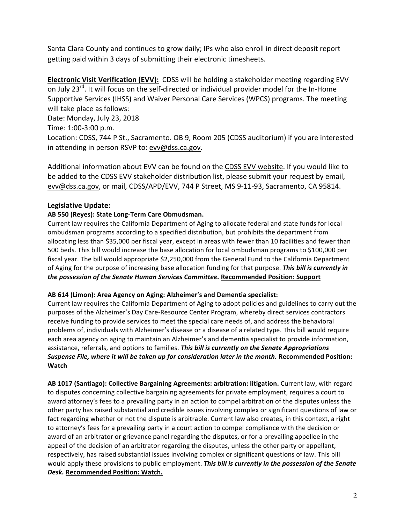Santa Clara County and continues to grow daily; IPs who also enroll in direct deposit report getting paid within 3 days of submitting their electronic timesheets.

**Electronic Visit Verification (EVV):** CDSS will be holding a stakeholder meeting regarding EVV on July 23<sup>rd</sup>. It will focus on the self-directed or individual provider model for the In-Home Supportive Services (IHSS) and Waiver Personal Care Services (WPCS) programs. The meeting will take place as follows: Date: Monday, July 23, 2018 Time: 1:00-3:00 p.m. Location: CDSS, 744 P St., Sacramento. OB 9, Room 205 (CDSS auditorium) if you are interested in attending in person RSVP to: evv@dss.ca.gov.

Additional information about EVV can be found on the CDSS EVV website. If you would like to be added to the CDSS EVV stakeholder distribution list, please submit your request by email, evv@dss.ca.gov, or mail, CDSS/APD/EVV, 744 P Street, MS 9-11-93, Sacramento, CA 95814.

### **Legislative Update:**

#### AB 550 (Reyes): State Long-Term Care Obmudsman.

Current law requires the California Department of Aging to allocate federal and state funds for local ombudsman programs according to a specified distribution, but prohibits the department from allocating less than \$35,000 per fiscal year, except in areas with fewer than 10 facilities and fewer than 500 beds. This bill would increase the base allocation for local ombudsman programs to \$100,000 per fiscal year. The bill would appropriate \$2,250,000 from the General Fund to the California Department of Aging for the purpose of increasing base allocation funding for that purpose. This bill is currently in *the possession of the Senate Human Services Committee.* Recommended Position: Support

#### AB 614 (Limon): Area Agency on Aging: Alzheimer's and Dementia specialist:

Current law requires the California Department of Aging to adopt policies and guidelines to carry out the purposes of the Alzheimer's Day Care-Resource Center Program, whereby direct services contractors receive funding to provide services to meet the special care needs of, and address the behavioral problems of, individuals with Alzheimer's disease or a disease of a related type. This bill would require each area agency on aging to maintain an Alzheimer's and dementia specialist to provide information, assistance, referrals, and options to families. This bill is currently on the Senate Appropriations *Suspense File, where it will be taken up for consideration later in the month.* Recommended Position: **Watch**

AB 1017 (Santiago): Collective Bargaining Agreements: arbitration: litigation. Current law, with regard to disputes concerning collective bargaining agreements for private employment, requires a court to award attorney's fees to a prevailing party in an action to compel arbitration of the disputes unless the other party has raised substantial and credible issues involving complex or significant questions of law or fact regarding whether or not the dispute is arbitrable. Current law also creates, in this context, a right to attorney's fees for a prevailing party in a court action to compel compliance with the decision or award of an arbitrator or grievance panel regarding the disputes, or for a prevailing appellee in the appeal of the decision of an arbitrator regarding the disputes, unless the other party or appellant, respectively, has raised substantial issues involving complex or significant questions of law. This bill would apply these provisions to public employment. This bill is currently in the possession of the Senate *Desk.* **Recommended Position: Watch.**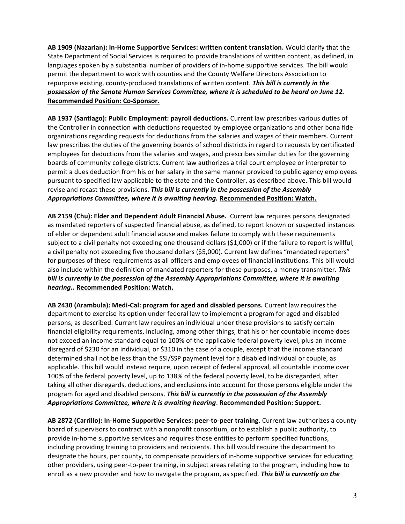AB 1909 (Nazarian): In-Home Supportive Services: written content translation. Would clarify that the State Department of Social Services is required to provide translations of written content, as defined, in languages spoken by a substantial number of providers of in-home supportive services. The bill would permit the department to work with counties and the County Welfare Directors Association to repurpose existing, county-produced translations of written content. This bill is currently in the possession of the Senate Human Services Committee, where it is scheduled to be heard on June 12. **Recommended Position: Co-Sponsor.**

AB 1937 (Santiago): Public Employment: payroll deductions. Current law prescribes various duties of the Controller in connection with deductions requested by employee organizations and other bona fide organizations regarding requests for deductions from the salaries and wages of their members. Current law prescribes the duties of the governing boards of school districts in regard to requests by certificated employees for deductions from the salaries and wages, and prescribes similar duties for the governing boards of community college districts. Current law authorizes a trial court employee or interpreter to permit a dues deduction from his or her salary in the same manner provided to public agency employees pursuant to specified law applicable to the state and the Controller, as described above. This bill would revise and recast these provisions. This bill is currently in the possession of the Assembly Appropriations Committee, where it is awaiting hearing. Recommended Position: Watch.

AB 2159 (Chu): Elder and Dependent Adult Financial Abuse. Current law requires persons designated as mandated reporters of suspected financial abuse, as defined, to report known or suspected instances of elder or dependent adult financial abuse and makes failure to comply with these requirements subject to a civil penalty not exceeding one thousand dollars (\$1,000) or if the failure to report is willful, a civil penalty not exceeding five thousand dollars (\$5,000). Current law defines "mandated reporters" for purposes of these requirements as all officers and employees of financial institutions. This bill would also include within the definition of mandated reporters for these purposes, a money transmitter. This bill is currently in the possession of the Assembly Appropriations Committee, where it is awaiting *hearing..* **Recommended Position: Watch.**

AB 2430 (Arambula): Medi-Cal: program for aged and disabled persons. Current law requires the department to exercise its option under federal law to implement a program for aged and disabled persons, as described. Current law requires an individual under these provisions to satisfy certain financial eligibility requirements, including, among other things, that his or her countable income does not exceed an income standard equal to 100% of the applicable federal poverty level, plus an income disregard of \$230 for an individual, or \$310 in the case of a couple, except that the income standard determined shall not be less than the SSI/SSP payment level for a disabled individual or couple, as applicable. This bill would instead require, upon receipt of federal approval, all countable income over 100% of the federal poverty level, up to 138% of the federal poverty level, to be disregarded, after taking all other disregards, deductions, and exclusions into account for those persons eligible under the program for aged and disabled persons. This bill is currently in the possession of the Assembly Appropriations Committee, where it is awaiting hearing. Recommended Position: Support.

AB 2872 (Carrillo): In-Home Supportive Services: peer-to-peer training. Current law authorizes a county board of supervisors to contract with a nonprofit consortium, or to establish a public authority, to provide in-home supportive services and requires those entities to perform specified functions, including providing training to providers and recipients. This bill would require the department to designate the hours, per county, to compensate providers of in-home supportive services for educating other providers, using peer-to-peer training, in subject areas relating to the program, including how to enroll as a new provider and how to navigate the program, as specified. This bill is currently on the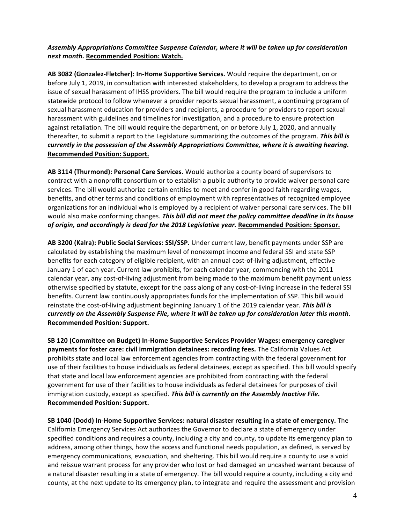#### Assembly Appropriations Committee Suspense Calendar, where it will be taken up for consideration *next month.* **Recommended Position: Watch.**

AB 3082 (Gonzalez-Fletcher): In-Home Supportive Services. Would require the department, on or before July 1, 2019, in consultation with interested stakeholders, to develop a program to address the issue of sexual harassment of IHSS providers. The bill would require the program to include a uniform statewide protocol to follow whenever a provider reports sexual harassment, a continuing program of sexual harassment education for providers and recipients, a procedure for providers to report sexual harassment with guidelines and timelines for investigation, and a procedure to ensure protection against retaliation. The bill would require the department, on or before July 1, 2020, and annually thereafter, to submit a report to the Legislature summarizing the outcomes of the program. **This bill is** *currently* in the possession of the Assembly Appropriations Committee, where it is awaiting hearing. **Recommended Position: Support.**

AB 3114 (Thurmond): Personal Care Services. Would authorize a county board of supervisors to contract with a nonprofit consortium or to establish a public authority to provide waiver personal care services. The bill would authorize certain entities to meet and confer in good faith regarding wages, benefits, and other terms and conditions of employment with representatives of recognized employee organizations for an individual who is employed by a recipient of waiver personal care services. The bill would also make conforming changes. **This bill did not meet the policy committee deadline in its house** of origin, and accordingly is dead for the 2018 Legislative year. Recommended Position: Sponsor.

AB 3200 (Kalra): Public Social Services: SSI/SSP. Under current law, benefit payments under SSP are calculated by establishing the maximum level of nonexempt income and federal SSI and state SSP benefits for each category of eligible recipient, with an annual cost-of-living adjustment, effective January 1 of each year. Current law prohibits, for each calendar year, commencing with the 2011 calendar year, any cost-of-living adjustment from being made to the maximum benefit payment unless otherwise specified by statute, except for the pass along of any cost-of-living increase in the federal SSI benefits. Current law continuously appropriates funds for the implementation of SSP. This bill would reinstate the cost-of-living adjustment beginning January 1 of the 2019 calendar year. *This bill is currently* on the Assembly Suspense File, where it will be taken up for consideration later this month. **Recommended Position: Support.** 

SB 120 (Committee on Budget) In-Home Supportive Services Provider Wages: emergency caregiver payments for foster care: civil immigration detainees: recording fees. The California Values Act prohibits state and local law enforcement agencies from contracting with the federal government for use of their facilities to house individuals as federal detainees, except as specified. This bill would specify that state and local law enforcement agencies are prohibited from contracting with the federal government for use of their facilities to house individuals as federal detainees for purposes of civil immigration custody, except as specified. This bill is currently on the Assembly Inactive File. **Recommended Position: Support.**

**SB 1040 (Dodd) In-Home Supportive Services: natural disaster resulting in a state of emergency.** The California Emergency Services Act authorizes the Governor to declare a state of emergency under specified conditions and requires a county, including a city and county, to update its emergency plan to address, among other things, how the access and functional needs population, as defined, is served by emergency communications, evacuation, and sheltering. This bill would require a county to use a void and reissue warrant process for any provider who lost or had damaged an uncashed warrant because of a natural disaster resulting in a state of emergency. The bill would require a county, including a city and county, at the next update to its emergency plan, to integrate and require the assessment and provision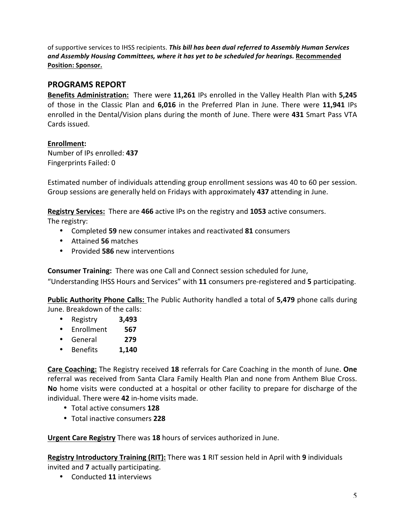of supportive services to IHSS recipients. This bill has been dual referred to Assembly Human Services and Assembly Housing Committees, where it has yet to be scheduled for hearings. Recommended **Position: Sponsor.**

## **PROGRAMS REPORT**

**Benefits Administration:** There were 11,261 IPs enrolled in the Valley Health Plan with 5,245 of those in the Classic Plan and 6,016 in the Preferred Plan in June. There were 11,941 IPs enrolled in the Dental/Vision plans during the month of June. There were 431 Smart Pass VTA Cards issued.

## **Enrollment:**

Number of IPs enrolled: **437** Fingerprints Failed: 0 

Estimated number of individuals attending group enrollment sessions was 40 to 60 per session. Group sessions are generally held on Fridays with approximately 437 attending in June.

**Registry Services:** There are 466 active IPs on the registry and 1053 active consumers. The registry:

- Completed 59 new consumer intakes and reactivated 81 consumers
- Attained **56** matches
- Provided **586** new interventions

**Consumer Training:** There was one Call and Connect session scheduled for June,

"Understanding IHSS Hours and Services" with 11 consumers pre-registered and 5 participating.

**Public Authority Phone Calls:** The Public Authority handled a total of 5,479 phone calls during June. Breakdown of the calls:

- Registry **3,493**
- Enrollment  **567**
- General  **279**
- Benefits **1,140**

**Care Coaching:** The Registry received 18 referrals for Care Coaching in the month of June. One referral was received from Santa Clara Family Health Plan and none from Anthem Blue Cross. **No** home visits were conducted at a hospital or other facility to prepare for discharge of the individual. There were 42 in-home visits made.

- Total active consumers **128**
- Total inactive consumers **228**

**Urgent Care Registry** There was 18 hours of services authorized in June.

Registry Introductory Training (RIT): There was 1 RIT session held in April with 9 individuals invited and **7** actually participating.

• Conducted **11** interviews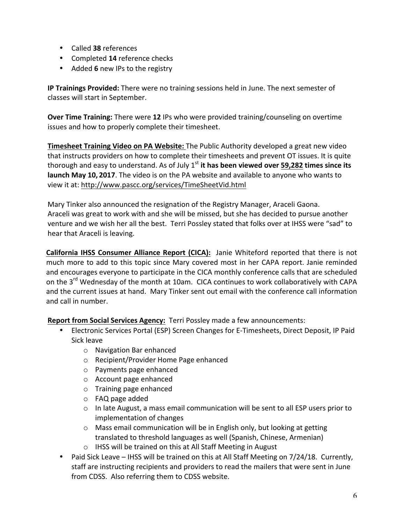- Called **38** references
- Completed 14 reference checks
- Added **6** new IPs to the registry

**IP Trainings Provided:** There were no training sessions held in June. The next semester of classes will start in September.

**Over Time Training:** There were 12 IPs who were provided training/counseling on overtime issues and how to properly complete their timesheet.

**Timesheet Training Video on PA Website:** The Public Authority developed a great new video that instructs providers on how to complete their timesheets and prevent OT issues. It is quite thorough and easy to understand. As of July  $1<sup>st</sup>$  it has been viewed over 59,282 times since its **launch May 10, 2017**. The video is on the PA website and available to anyone who wants to view it at: http://www.pascc.org/services/TimeSheetVid.html

Mary Tinker also announced the resignation of the Registry Manager, Araceli Gaona. Araceli was great to work with and she will be missed, but she has decided to pursue another venture and we wish her all the best. Terri Possley stated that folks over at IHSS were "sad" to hear that Araceli is leaving.

**California IHSS Consumer Alliance Report (CICA):** Janie Whiteford reported that there is not much more to add to this topic since Mary covered most in her CAPA report. Janie reminded and encourages everyone to participate in the CICA monthly conference calls that are scheduled on the 3<sup>rd</sup> Wednesday of the month at 10am. CICA continues to work collaboratively with CAPA and the current issues at hand. Mary Tinker sent out email with the conference call information and call in number.

**Report from Social Services Agency:** Terri Possley made a few announcements:

- Electronic Services Portal (ESP) Screen Changes for E-Timesheets, Direct Deposit, IP Paid Sick leave
	- o Navigation Bar enhanced
	- o Recipient/Provider Home Page enhanced
	- $\circ$  Payments page enhanced
	- $\circ$  Account page enhanced
	- $\circ$  Training page enhanced
	- $\circ$  FAQ page added
	- $\circ$  In late August, a mass email communication will be sent to all ESP users prior to implementation of changes
	- $\circ$  Mass email communication will be in English only, but looking at getting translated to threshold languages as well (Spanish, Chinese, Armenian)
	- $\circ$  IHSS will be trained on this at All Staff Meeting in August
- Paid Sick Leave IHSS will be trained on this at All Staff Meeting on  $7/24/18$ . Currently, staff are instructing recipients and providers to read the mailers that were sent in June from CDSS. Also referring them to CDSS website.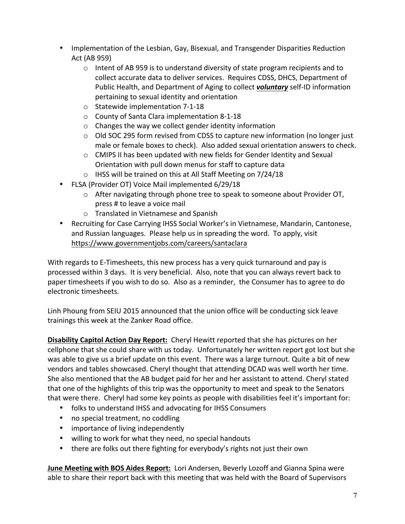- Implementation of the Lesbian, Gay, Bisexual, and Transgender Disparities Reduction Act (AB 959)
	- $\circ$  Intent of AB 959 is to understand diversity of state program recipients and to collect accurate data to deliver services. Requires CDSS, DHCS, Department of Public Health, and Department of Aging to collect *voluntary* self-ID information pertaining to sexual identity and orientation
	- $\circ$  Statewide implementation 7-1-18
	- o County of Santa Clara implementation 8-1-18
	- $\circ$  Changes the way we collect gender identity information
	- $\circ$  Old SOC 295 form revised from CDSS to capture new information (no longer just male or female boxes to check). Also added sexual orientation answers to check.
	- $\circ$  CMIPS II has been updated with new fields for Gender Identity and Sexual Orientation with pull down menus for staff to capture data
	- $\circ$  IHSS will be trained on this at All Staff Meeting on 7/24/18
- FLSA (Provider OT) Voice Mail implemented 6/29/18
	- o After navigating through phone tree to speak to someone about Provider OT, press # to leave a voice mail
	- $\circ$  Translated in Vietnamese and Spanish
- Recruiting for Case Carrying IHSS Social Worker's in Vietnamese, Mandarin, Cantonese, and Russian languages. Please help us in spreading the word. To apply, visit https://www.governmentjobs.com/careers/santaclara

With regards to E-Timesheets, this new process has a very quick turnaround and pay is processed within 3 days. It is very beneficial. Also, note that you can always revert back to paper timesheets if you wish to do so. Also as a reminder, the Consumer has to agree to do electronic timesheets.

Linh Phoung from SEIU 2015 announced that the union office will be conducting sick leave trainings this week at the Zanker Road office.

**Disability Capitol Action Day Report:** Cheryl Hewitt reported that she has pictures on her cellphone that she could share with us today. Unfortunately her written report got lost but she was able to give us a brief update on this event. There was a large turnout. Quite a bit of new vendors and tables showcased. Cheryl thought that attending DCAD was well worth her time. She also mentioned that the AB budget paid for her and her assistant to attend. Cheryl stated that one of the highlights of this trip was the opportunity to meet and speak to the Senators that were there. Cheryl had some key points as people with disabilities feel it's important for:

- folks to understand IHSS and advocating for IHSS Consumers
- no special treatment, no coddling
- importance of living independently
- willing to work for what they need, no special handouts
- there are folks out there fighting for everybody's rights not just their own

**June Meeting with BOS Aides Report:** Lori Andersen, Beverly Lozoff and Gianna Spina were able to share their report back with this meeting that was held with the Board of Supervisors